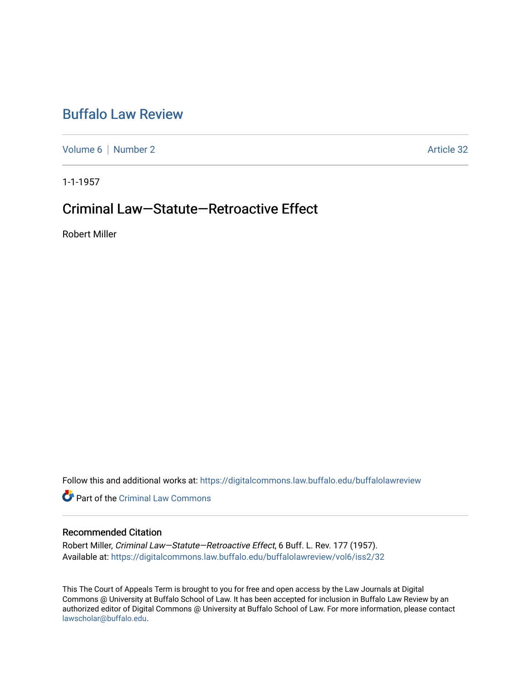# [Buffalo Law Review](https://digitalcommons.law.buffalo.edu/buffalolawreview)

[Volume 6](https://digitalcommons.law.buffalo.edu/buffalolawreview/vol6) | [Number 2](https://digitalcommons.law.buffalo.edu/buffalolawreview/vol6/iss2) Article 32

1-1-1957

# Criminal Law—Statute—Retroactive Effect

Robert Miller

Follow this and additional works at: [https://digitalcommons.law.buffalo.edu/buffalolawreview](https://digitalcommons.law.buffalo.edu/buffalolawreview?utm_source=digitalcommons.law.buffalo.edu%2Fbuffalolawreview%2Fvol6%2Fiss2%2F32&utm_medium=PDF&utm_campaign=PDFCoverPages) 

**P** Part of the Criminal Law Commons

# Recommended Citation

Robert Miller, Criminal Law—Statute—Retroactive Effect, 6 Buff. L. Rev. 177 (1957). Available at: [https://digitalcommons.law.buffalo.edu/buffalolawreview/vol6/iss2/32](https://digitalcommons.law.buffalo.edu/buffalolawreview/vol6/iss2/32?utm_source=digitalcommons.law.buffalo.edu%2Fbuffalolawreview%2Fvol6%2Fiss2%2F32&utm_medium=PDF&utm_campaign=PDFCoverPages) 

This The Court of Appeals Term is brought to you for free and open access by the Law Journals at Digital Commons @ University at Buffalo School of Law. It has been accepted for inclusion in Buffalo Law Review by an authorized editor of Digital Commons @ University at Buffalo School of Law. For more information, please contact [lawscholar@buffalo.edu](mailto:lawscholar@buffalo.edu).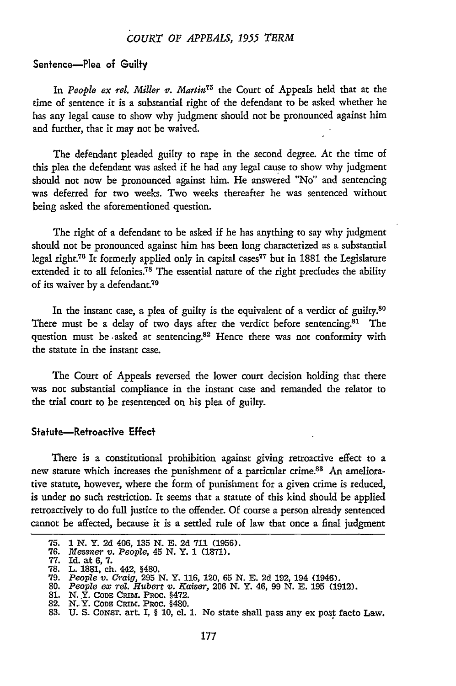## *COURT OF APPEALS, 1955 TERM*

## Sentence-Plea of Guilty

In *People ex rel. Miller v. Martin75* the Court of Appeals held that at the time of sentence it is a substantial right of the defendant to be asked whether he has any legal cause to show why judgment should not be pronounced against him and further, that it may not be waived.

The defendant pleaded guilty to rape in the second degree. At the time of this plea the defendant was asked if he had any legal cause to show why judgment should not now be pronounced against him. He answered "No" and sentencing was deferred for two weeks. Two weeks thereafter he was sentenced without being asked the aforementioned question.

The right of a defendant to be asked if he has anything to say why judgment should not be pronounced against him has been long characterized as a substantial legal right.76 It formerly applied only in capital cases77 but in **1881** the Legislature extended it to all felonies.<sup>78</sup> The essential nature of the right precludes the ability of its waiver by a defendant.<sup>79</sup>

In the instant case, a plea of guilty is the equivalent of a verdict of guilty.<sup>80</sup> There must be a delay of two days after the verdict before sentencing.<sup>81</sup> The question must be -asked at sentencing.<sup>82</sup> Hence there was not conformity with the statute in the instant case.

The Court of Appeals reversed the lower court decision holding that there was not substantial compliance in the instant case and remanded the relator to the trial court to be resentenced on his plea of guilty.

### Statute-Retroactive Effect

There is a constitutional prohibition against giving retroactive effect to a new statute which increases the punishment of a particular crime.<sup>83</sup> An ameliorative statute, however, where the form of punishment for a given crime is reduced, is under no such restriction. It seems that a statute of this kind should be applied retroactively to do full justice to the offender. **Of** course a person already sentenced cannot be affected, because it is a settled rule of law that once a final judgment

**<sup>75. 1</sup>** *N.* Y. **2d** 406, **135 N. E. 2d 711 (1956).**

**<sup>76.</sup>** *Messner v. People,* 45 **N.** Y. 1 **(1871).**

<sup>77.</sup> Id. at 6, 7.

**<sup>78.</sup>** L. **1881,** ch. 442, §480.

**<sup>79.</sup>** *People v. Craig,* 295 N. Y. 116, 120, 65 N. E. 2d 192, 194 (1946). 80. *People ex rel. Hubert v. Kaiser,* 206 N. Y. 46, 99 N. **E.** 195 (1912).

**<sup>81.</sup>** N. Y. **CODE** CRIM. PROc. §472. 82. **N.** Y. **CODE CRIM.** PROC. §480.

<sup>83.</sup> U. S. CONST. art. I, § **10,** cl. **1.** No state shall pass any ex post facto Law.